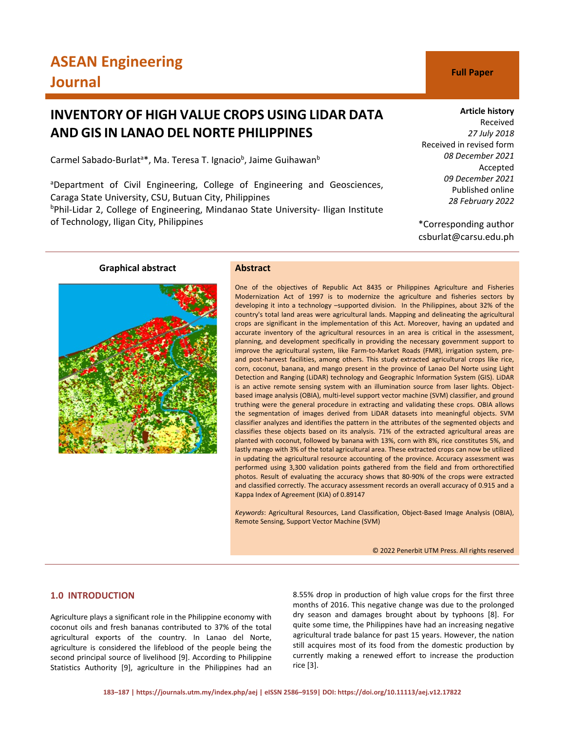# **INVENTORY OF HIGH VALUE CROPS USING LIDAR DATA AND GIS IN LANAO DEL NORTE PHILIPPINES**

Carmel Sabado-Burlat<sup>a\*</sup>, Ma. Teresa T. Ignacio<sup>b</sup>, Jaime Guihawan<sup>b</sup>

<sup>a</sup>Department of Civil Engineering, College of Engineering and Geosciences, Caraga State University, CSU, Butuan City, Philippines b Phil-Lidar 2, College of Engineering, Mindanao State University- Iligan Institute of Technology, Iligan City, Philippines

# **Article history**

Received *27 July 2018* Received in revised form *08 December 2021* Accepted *09 December 2021* Published online *28 February 2022*

\*Corresponding author csburlat@carsu.edu.ph

# **Graphical abstract Abstract**



One of the objectives of Republic Act 8435 or Philippines Agriculture and Fisheries Modernization Act of 1997 is to modernize the agriculture and fisheries sectors by developing it into a technology –supported division.In the Philippines, about 32% of the country's total land areas were agricultural lands. Mapping and delineating the agricultural crops are significant in the implementation of this Act. Moreover, having an updated and accurate inventory of the agricultural resources in an area is critical in the assessment, planning, and development specifically in providing the necessary government support to improve the agricultural system, like Farm-to-Market Roads (FMR), irrigation system, preand post-harvest facilities, among others. This study extracted agricultural crops like rice, corn, coconut, banana, and mango present in the province of Lanao Del Norte using Light Detection and Ranging (LiDAR) technology and Geographic Information System (GIS). LiDAR is an active remote sensing system with an illumination source from laser lights. Objectbased image analysis (OBIA), multi-level support vector machine (SVM) classifier, and ground truthing were the general procedure in extracting and validating these crops. OBIA allows the segmentation of images derived from LiDAR datasets into meaningful objects. SVM classifier analyzes and identifies the pattern in the attributes of the segmented objects and classifies these objects based on its analysis. 71% of the extracted agricultural areas are planted with coconut, followed by banana with 13%, corn with 8%, rice constitutes 5%, and lastly mango with 3% of the total agricultural area. These extracted crops can now be utilized in updating the agricultural resource accounting of the province. Accuracy assessment was performed using 3,300 validation points gathered from the field and from orthorectified photos. Result of evaluating the accuracy shows that 80-90% of the crops were extracted and classified correctly. The accuracy assessment records an overall accuracy of 0.915 and a Kappa Index of Agreement (KIA) of 0.89147

*Keywords*: Agricultural Resources, Land Classification, Object-Based Image Analysis (OBIA), Remote Sensing, Support Vector Machine (SVM)

© 2022 Penerbit UTM Press. All rights reserved

# **1.0 INTRODUCTION**

Agriculture plays a significant role in the Philippine economy with coconut oils and fresh bananas contributed to 37% of the total agricultural exports of the country. In Lanao del Norte, agriculture is considered the lifeblood of the people being the second principal source of livelihood [9]. According to Philippine Statistics Authority [9], agriculture in the Philippines had an 8.55% drop in production of high value crops for the first three months of 2016. This negative change was due to the prolonged dry season and damages brought about by typhoons [8]. For quite some time, the Philippines have had an increasing negative agricultural trade balance for past 15 years. However, the nation still acquires most of its food from the domestic production by currently making a renewed effort to increase the production rice [3].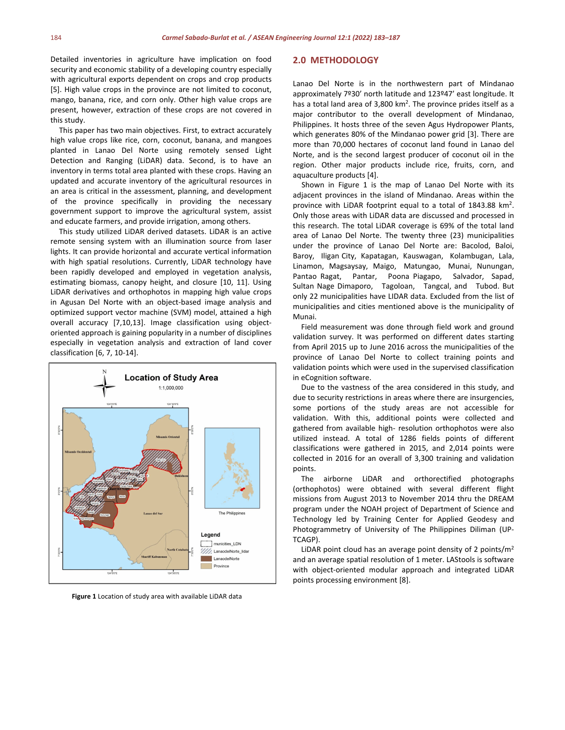Detailed inventories in agriculture have implication on food security and economic stability of a developing country especially with agricultural exports dependent on crops and crop products [5]. High value crops in the province are not limited to coconut, mango, banana, rice, and corn only. Other high value crops are present, however, extraction of these crops are not covered in this study.

This paper has two main objectives. First, to extract accurately high value crops like rice, corn, coconut, banana, and mangoes planted in Lanao Del Norte using remotely sensed Light Detection and Ranging (LiDAR) data. Second, is to have an inventory in terms total area planted with these crops. Having an updated and accurate inventory of the agricultural resources in an area is critical in the assessment, planning, and development of the province specifically in providing the necessary government support to improve the agricultural system, assist and educate farmers, and provide irrigation, among others.

This study utilized LiDAR derived datasets. LiDAR is an active remote sensing system with an illumination source from laser lights. It can provide horizontal and accurate vertical information with high spatial resolutions. Currently, LiDAR technology have been rapidly developed and employed in vegetation analysis, estimating biomass, canopy height, and closure [10, 11]. Using LiDAR derivatives and orthophotos in mapping high value crops in Agusan Del Norte with an object-based image analysis and optimized support vector machine (SVM) model, attained a high overall accuracy [7,10,13]. Image classification using objectoriented approach is gaining popularity in a number of disciplines especially in vegetation analysis and extraction of land cover classification [6, 7, 10-14].



**Figure 1** Location of study area with available LiDAR data

#### **2.0 METHODOLOGY**

Lanao Del Norte is in the northwestern part of Mindanao approximately 7º30' north latitude and 123º47' east longitude. It has a total land area of 3,800  $km^2$ . The province prides itself as a major contributor to the overall development of Mindanao, Philippines. It hosts three of the seven Agus Hydropower Plants, which generates 80% of the Mindanao power grid [3]. There are more than 70,000 hectares of coconut land found in Lanao del Norte, and is the second largest producer of coconut oil in the region. Other major products include rice, fruits, corn, and aquaculture products [4].

Shown in Figure 1 is the map of Lanao Del Norte with its adjacent provinces in the island of Mindanao. Areas within the province with LiDAR footprint equal to a total of 1843.88 km<sup>2</sup>. Only those areas with LiDAR data are discussed and processed in this research. The total LiDAR coverage is 69% of the total land area of Lanao Del Norte. The twenty three (23) municipalities under the province of Lanao Del Norte are: Bacolod, Baloi, Baroy, Iligan City, Kapatagan, Kauswagan, Kolambugan, Lala, Linamon, Magsaysay, Maigo, Matungao, Munai, Nunungan, Pantao Ragat, Pantar, Poona Piagapo, Salvador, Sapad, Sultan Nage Dimaporo, Tagoloan, Tangcal, and Tubod. But only 22 municipalities have LIDAR data. Excluded from the list of municipalities and cities mentioned above is the municipality of Munai.

Field measurement was done through field work and ground validation survey. It was performed on different dates starting from April 2015 up to June 2016 across the municipalities of the province of Lanao Del Norte to collect training points and validation points which were used in the supervised classification in eCognition software.

Due to the vastness of the area considered in this study, and due to security restrictions in areas where there are insurgencies, some portions of the study areas are not accessible for validation. With this, additional points were collected and gathered from available high- resolution orthophotos were also utilized instead. A total of 1286 fields points of different classifications were gathered in 2015, and 2,014 points were collected in 2016 for an overall of 3,300 training and validation points.

The airborne LiDAR and orthorectified photographs (orthophotos) were obtained with several different flight missions from August 2013 to November 2014 thru the DREAM program under the NOAH project of Department of Science and Technology led by Training Center for Applied Geodesy and Photogrammetry of University of The Philippines Diliman (UP-TCAGP).

LiDAR point cloud has an average point density of 2 points/ $m<sup>2</sup>$ and an average spatial resolution of 1 meter. LAStools is software with object-oriented modular approach and integrated LiDAR points processing environment [8].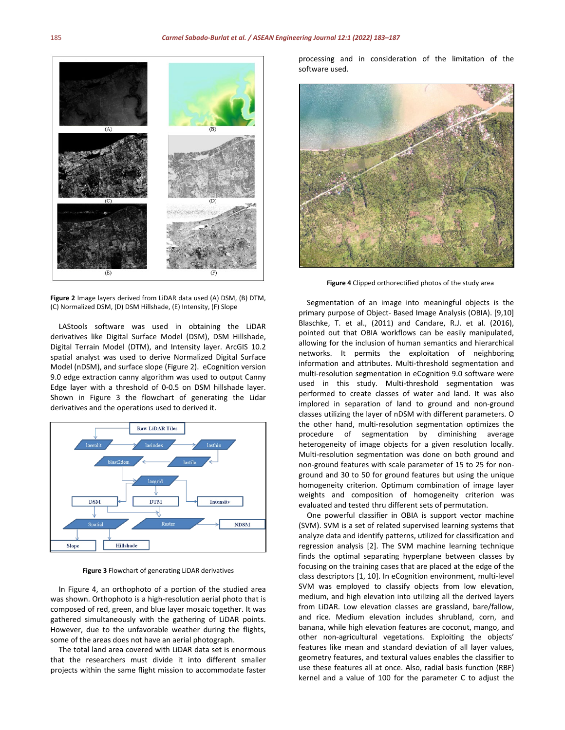

**Figure 2** Image layers derived from LiDAR data used (A) DSM, (B) DTM, (C) Normalized DSM, (D) DSM Hillshade, (E) Intensity, (F) Slope

LAStools software was used in obtaining the LiDAR derivatives like Digital Surface Model (DSM), DSM Hillshade, Digital Terrain Model (DTM), and Intensity layer. ArcGIS 10.2 spatial analyst was used to derive Normalized Digital Surface Model (nDSM), and surface slope (Figure 2). eCognition version 9.0 edge extraction canny algorithm was used to output Canny Edge layer with a threshold of 0-0.5 on DSM hillshade layer. Shown in Figure 3 the flowchart of generating the Lidar derivatives and the operations used to derived it.



**Figure 3** Flowchart of generating LiDAR derivatives

In Figure 4, an orthophoto of a portion of the studied area was shown. Orthophoto is a high-resolution aerial photo that is composed of red, green, and blue layer mosaic together. It was gathered simultaneously with the gathering of LiDAR points. However, due to the unfavorable weather during the flights, some of the areas does not have an aerial photograph.

The total land area covered with LiDAR data set is enormous that the researchers must divide it into different smaller projects within the same flight mission to accommodate faster processing and in consideration of the limitation of the software used.



**Figure 4** Clipped orthorectified photos of the study area

Segmentation of an image into meaningful objects is the primary purpose of Object- Based Image Analysis (OBIA). [9,10] Blaschke, T. et al., (2011) and Candare, R.J. et al. (2016), pointed out that OBIA workflows can be easily manipulated, allowing for the inclusion of human semantics and hierarchical networks. It permits the exploitation of neighboring information and attributes. Multi-threshold segmentation and multi-resolution segmentation in eCognition 9.0 software were used in this study. Multi-threshold segmentation was performed to create classes of water and land. It was also implored in separation of land to ground and non-ground classes utilizing the layer of nDSM with different parameters. O the other hand, multi-resolution segmentation optimizes the procedure of segmentation by diminishing average heterogeneity of image objects for a given resolution locally. Multi-resolution segmentation was done on both ground and non-ground features with scale parameter of 15 to 25 for nonground and 30 to 50 for ground features but using the unique homogeneity criterion. Optimum combination of image layer weights and composition of homogeneity criterion was evaluated and tested thru different sets of permutation.

One powerful classifier in OBIA is support vector machine (SVM). SVM is a set of related supervised learning systems that analyze data and identify patterns, utilized for classification and regression analysis [2]. The SVM machine learning technique finds the optimal separating hyperplane between classes by focusing on the training cases that are placed at the edge of the class descriptors [1, 10]. In eCognition environment, multi-level SVM was employed to classify objects from low elevation, medium, and high elevation into utilizing all the derived layers from LiDAR. Low elevation classes are grassland, bare/fallow, and rice. Medium elevation includes shrubland, corn, and banana, while high elevation features are coconut, mango, and other non-agricultural vegetations. Exploiting the objects' features like mean and standard deviation of all layer values, geometry features, and textural values enables the classifier to use these features all at once. Also, radial basis function (RBF) kernel and a value of 100 for the parameter C to adjust the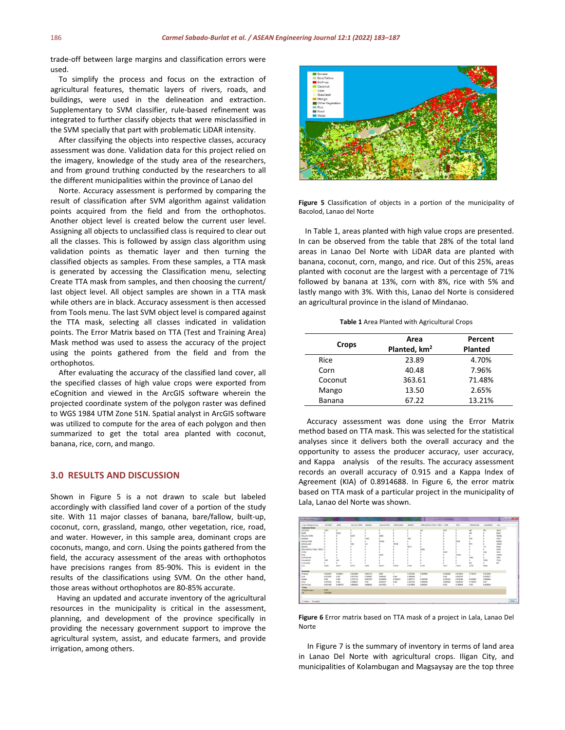trade-off between large margins and classification errors were used.

To simplify the process and focus on the extraction of agricultural features, thematic layers of rivers, roads, and buildings, were used in the delineation and extraction. Supplementary to SVM classifier, rule-based refinement was integrated to further classify objects that were misclassified in the SVM specially that part with problematic LiDAR intensity.

After classifying the objects into respective classes, accuracy assessment was done. Validation data for this project relied on the imagery, knowledge of the study area of the researchers, and from ground truthing conducted by the researchers to all the different municipalities within the province of Lanao del

Norte. Accuracy assessment is performed by comparing the result of classification after SVM algorithm against validation points acquired from the field and from the orthophotos. Another object level is created below the current user level. Assigning all objects to unclassified class is required to clear out all the classes. This is followed by assign class algorithm using validation points as thematic layer and then turning the classified objects as samples. From these samples, a TTA mask is generated by accessing the Classification menu, selecting Create TTA mask from samples, and then choosing the current/ last object level. All object samples are shown in a TTA mask while others are in black. Accuracy assessment is then accessed from Tools menu. The last SVM object level is compared against the TTA mask, selecting all classes indicated in validation points. The Error Matrix based on TTA (Test and Training Area) Mask method was used to assess the accuracy of the project using the points gathered from the field and from the orthophotos.

After evaluating the accuracy of the classified land cover, all the specified classes of high value crops were exported from eCognition and viewed in the ArcGIS software wherein the projected coordinate system of the polygon raster was defined to WGS 1984 UTM Zone 51N. Spatial analyst in ArcGIS software was utilized to compute for the area of each polygon and then summarized to get the total area planted with coconut, banana, rice, corn, and mango.

#### **3.0 RESULTS AND DISCUSSION**

Shown in Figure 5 is a not drawn to scale but labeled accordingly with classified land cover of a portion of the study site. With 11 major classes of banana, bare/fallow, built-up, coconut, corn, grassland, mango, other vegetation, rice, road, and water. However, in this sample area, dominant crops are coconuts, mango, and corn. Using the points gathered from the field, the accuracy assessment of the areas with orthophotos have precisions ranges from 85-90%. This is evident in the results of the classifications using SVM. On the other hand, those areas without orthophotos are 80-85% accurate.

Having an updated and accurate inventory of the agricultural resources in the municipality is critical in the assessment, planning, and development of the province specifically in providing the necessary government support to improve the agricultural system, assist, and educate farmers, and provide irrigation, among others.



**Figure 5** Classification of objects in a portion of the municipality of Bacolod, Lanao del Norte

In Table 1, areas planted with high value crops are presented. In can be observed from the table that 28% of the total land areas in Lanao Del Norte with LiDAR data are planted with banana, coconut, corn, mango, and rice. Out of this 25%, areas planted with coconut are the largest with a percentage of 71% followed by banana at 13%, corn with 8%, rice with 5% and lastly mango with 3%. With this, Lanao del Norte is considered an agricultural province in the island of Mindanao.

**Table 1** Area Planted with Agricultural Crops

| <b>Crops</b>  | Area                     | Percent        |
|---------------|--------------------------|----------------|
|               | Planted, km <sup>2</sup> | <b>Planted</b> |
| Rice          | 23.89                    | 4.70%          |
| Corn          | 40.48                    | 7.96%          |
| Coconut       | 363.61                   | 71.48%         |
| Mango         | 13.50                    | 2.65%          |
| <b>Banana</b> | 67.22                    | 13.21%         |

Accuracy assessment was done using the Error Matrix method based on TTA mask. This was selected for the statistical analyses since it delivers both the overall accuracy and the opportunity to assess the producer accuracy, user accuracy, and Kappa analysis of the results. The accuracy assessment records an overall accuracy of 0.915 and a Kappa Index of Agreement (KIA) of 0.8914688. In Figure 6, the error matrix based on TTA mask of a particular project in the municipality of Lala, Lanao del Norte was shown.



**Figure 6** Error matrix based on TTA mask of a project in Lala, Lanao Del Norte

In Figure 7 is the summary of inventory in terms of land area in Lanao Del Norte with agricultural crops. Iligan City, and municipalities of Kolambugan and Magsaysay are the top three